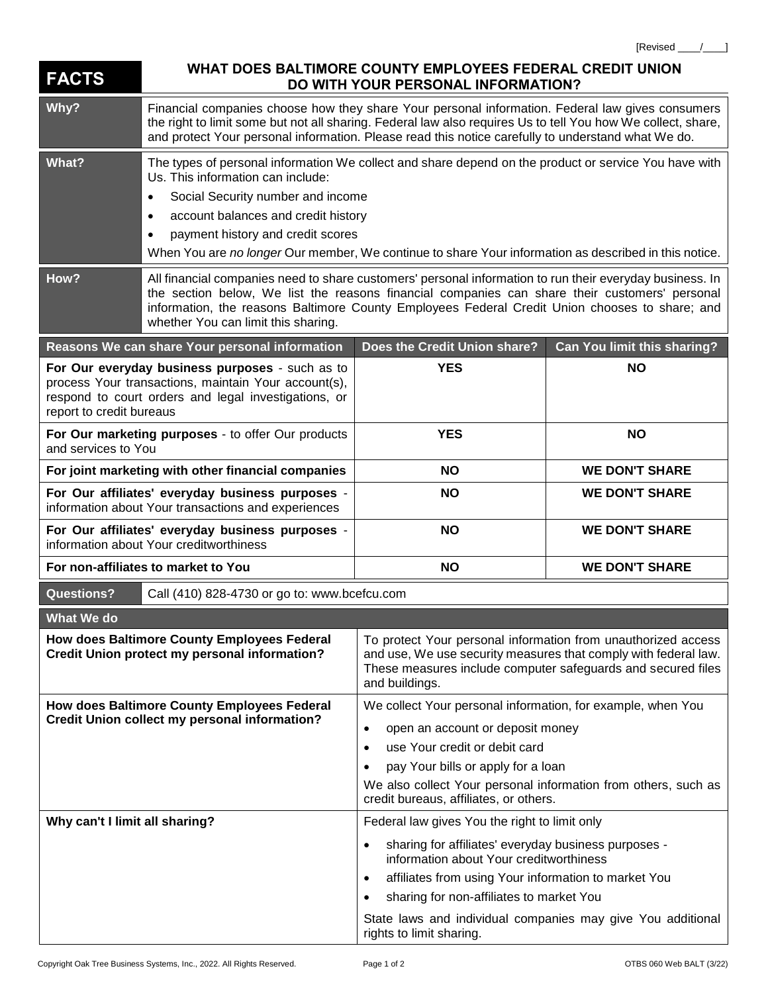| <b>FACTS</b>                                                                                                                                                                                | WHAT DOES BALTIMORE COUNTY EMPLOYEES FEDERAL CREDIT UNION<br>DO WITH YOUR PERSONAL INFORMATION?                                                                                                                                                                                                                                                                                                             |                                                                                                                                                                                                                                                                                                              |                             |  |
|---------------------------------------------------------------------------------------------------------------------------------------------------------------------------------------------|-------------------------------------------------------------------------------------------------------------------------------------------------------------------------------------------------------------------------------------------------------------------------------------------------------------------------------------------------------------------------------------------------------------|--------------------------------------------------------------------------------------------------------------------------------------------------------------------------------------------------------------------------------------------------------------------------------------------------------------|-----------------------------|--|
| Why?                                                                                                                                                                                        | Financial companies choose how they share Your personal information. Federal law gives consumers<br>the right to limit some but not all sharing. Federal law also requires Us to tell You how We collect, share,<br>and protect Your personal information. Please read this notice carefully to understand what We do.                                                                                      |                                                                                                                                                                                                                                                                                                              |                             |  |
| What?                                                                                                                                                                                       | The types of personal information We collect and share depend on the product or service You have with<br>Us. This information can include:<br>Social Security number and income<br>$\bullet$<br>account balances and credit history<br>$\bullet$<br>payment history and credit scores<br>$\bullet$<br>When You are no longer Our member, We continue to share Your information as described in this notice. |                                                                                                                                                                                                                                                                                                              |                             |  |
| How?                                                                                                                                                                                        | All financial companies need to share customers' personal information to run their everyday business. In<br>the section below, We list the reasons financial companies can share their customers' personal<br>information, the reasons Baltimore County Employees Federal Credit Union chooses to share; and<br>whether You can limit this sharing.                                                         |                                                                                                                                                                                                                                                                                                              |                             |  |
|                                                                                                                                                                                             | Reasons We can share Your personal information                                                                                                                                                                                                                                                                                                                                                              | Does the Credit Union share?                                                                                                                                                                                                                                                                                 | Can You limit this sharing? |  |
| For Our everyday business purposes - such as to<br>process Your transactions, maintain Your account(s),<br>respond to court orders and legal investigations, or<br>report to credit bureaus |                                                                                                                                                                                                                                                                                                                                                                                                             | <b>YES</b>                                                                                                                                                                                                                                                                                                   | <b>NO</b>                   |  |
| For Our marketing purposes - to offer Our products<br>and services to You                                                                                                                   |                                                                                                                                                                                                                                                                                                                                                                                                             | <b>YES</b>                                                                                                                                                                                                                                                                                                   | <b>NO</b>                   |  |
| For joint marketing with other financial companies                                                                                                                                          |                                                                                                                                                                                                                                                                                                                                                                                                             | <b>NO</b>                                                                                                                                                                                                                                                                                                    | <b>WE DON'T SHARE</b>       |  |
| For Our affiliates' everyday business purposes -<br>information about Your transactions and experiences                                                                                     |                                                                                                                                                                                                                                                                                                                                                                                                             | <b>NO</b>                                                                                                                                                                                                                                                                                                    | <b>WE DON'T SHARE</b>       |  |
| For Our affiliates' everyday business purposes -<br>information about Your creditworthiness                                                                                                 |                                                                                                                                                                                                                                                                                                                                                                                                             | <b>NO</b>                                                                                                                                                                                                                                                                                                    | <b>WE DON'T SHARE</b>       |  |
| For non-affiliates to market to You                                                                                                                                                         |                                                                                                                                                                                                                                                                                                                                                                                                             | <b>NO</b>                                                                                                                                                                                                                                                                                                    | <b>WE DON'T SHARE</b>       |  |
| <b>Questions?</b><br>Call (410) 828-4730 or go to: www.bcefcu.com                                                                                                                           |                                                                                                                                                                                                                                                                                                                                                                                                             |                                                                                                                                                                                                                                                                                                              |                             |  |
| What We do                                                                                                                                                                                  |                                                                                                                                                                                                                                                                                                                                                                                                             |                                                                                                                                                                                                                                                                                                              |                             |  |
| How does Baltimore County Employees Federal<br><b>Credit Union protect my personal information?</b>                                                                                         |                                                                                                                                                                                                                                                                                                                                                                                                             | To protect Your personal information from unauthorized access<br>and use, We use security measures that comply with federal law.<br>These measures include computer safeguards and secured files<br>and buildings.                                                                                           |                             |  |
| How does Baltimore County Employees Federal<br><b>Credit Union collect my personal information?</b>                                                                                         |                                                                                                                                                                                                                                                                                                                                                                                                             | We collect Your personal information, for example, when You<br>open an account or deposit money<br>$\bullet$<br>use Your credit or debit card<br>$\bullet$<br>pay Your bills or apply for a loan<br>We also collect Your personal information from others, such as<br>credit bureaus, affiliates, or others. |                             |  |
| Why can't I limit all sharing?                                                                                                                                                              |                                                                                                                                                                                                                                                                                                                                                                                                             | Federal law gives You the right to limit only                                                                                                                                                                                                                                                                |                             |  |
|                                                                                                                                                                                             |                                                                                                                                                                                                                                                                                                                                                                                                             | sharing for affiliates' everyday business purposes -<br>$\bullet$<br>information about Your creditworthiness                                                                                                                                                                                                 |                             |  |
|                                                                                                                                                                                             |                                                                                                                                                                                                                                                                                                                                                                                                             | affiliates from using Your information to market You<br>$\bullet$<br>sharing for non-affiliates to market You<br>$\bullet$                                                                                                                                                                                   |                             |  |
|                                                                                                                                                                                             |                                                                                                                                                                                                                                                                                                                                                                                                             | State laws and individual companies may give You additional<br>rights to limit sharing.                                                                                                                                                                                                                      |                             |  |

[Revised \_\_\_\_/\_\_\_\_]